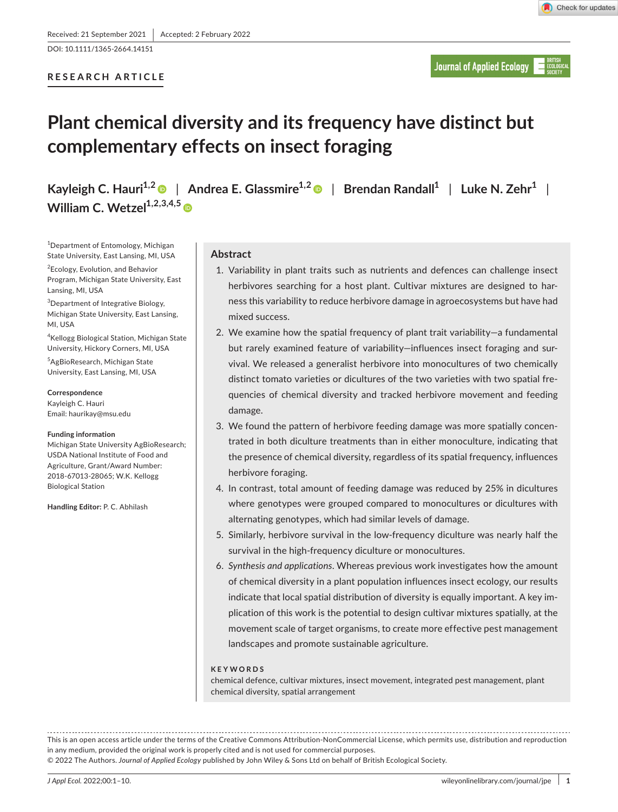DOI: 10.1111/1365-2664.14151

# **RESEARCH ARTICLE**

**Journal of Applied Ecology** 

# **Plant chemical diversity and its frequency have distinct but complementary effects on insect foraging**

**Kayleigh C. Hauri**<sup>1,2</sup> | Andrea E. Glassmire<sup>1,2</sup> | Brendan Randall<sup>1</sup> | Luke N. Zehr<sup>1</sup> | **William C. Wetzel**<sup>1,2,3,4,5</sup>

1 Department of Entomology, Michigan State University, East Lansing, MI, USA

2 Ecology, Evolution, and Behavior Program, Michigan State University, East Lansing, MI, USA

3 Department of Integrative Biology, Michigan State University, East Lansing, MI, USA

4 Kellogg Biological Station, Michigan State University, Hickory Corners, MI, USA

5 AgBioResearch, Michigan State University, East Lansing, MI, USA

**Correspondence** Kayleigh C. Hauri Email: [haurikay@msu.edu](mailto:haurikay@msu.edu)

**Funding information**

Michigan State University AgBioResearch; USDA National Institute of Food and Agriculture, Grant/Award Number: 2018-67013-28065; W.K. Kellogg Biological Station

**Handling Editor:** P. C. Abhilash

# **Abstract**

- 1. Variability in plant traits such as nutrients and defences can challenge insect herbivores searching for a host plant. Cultivar mixtures are designed to harness this variability to reduce herbivore damage in agroecosystems but have had mixed success.
- 2. We examine how the spatial frequency of plant trait variability—a fundamental but rarely examined feature of variability—influences insect foraging and survival. We released a generalist herbivore into monocultures of two chemically distinct tomato varieties or dicultures of the two varieties with two spatial frequencies of chemical diversity and tracked herbivore movement and feeding damage.
- 3. We found the pattern of herbivore feeding damage was more spatially concentrated in both diculture treatments than in either monoculture, indicating that the presence of chemical diversity, regardless of its spatial frequency, influences herbivore foraging.
- 4. In contrast, total amount of feeding damage was reduced by 25% in dicultures where genotypes were grouped compared to monocultures or dicultures with alternating genotypes, which had similar levels of damage.
- 5. Similarly, herbivore survival in the low-frequency diculture was nearly half the survival in the high-frequency diculture or monocultures.
- 6. *Synthesis and applications*. Whereas previous work investigates how the amount of chemical diversity in a plant population influences insect ecology, our results indicate that local spatial distribution of diversity is equally important. A key implication of this work is the potential to design cultivar mixtures spatially, at the movement scale of target organisms, to create more effective pest management landscapes and promote sustainable agriculture.

## **KEYWORDS**

chemical defence, cultivar mixtures, insect movement, integrated pest management, plant chemical diversity, spatial arrangement

This is an open access article under the terms of the [Creative Commons Attribution-NonCommercial](http://creativecommons.org/licenses/by-nc/4.0/) License, which permits use, distribution and reproduction in any medium, provided the original work is properly cited and is not used for commercial purposes.

© 2022 The Authors. *Journal of Applied Ecology* published by John Wiley & Sons Ltd on behalf of British Ecological Society.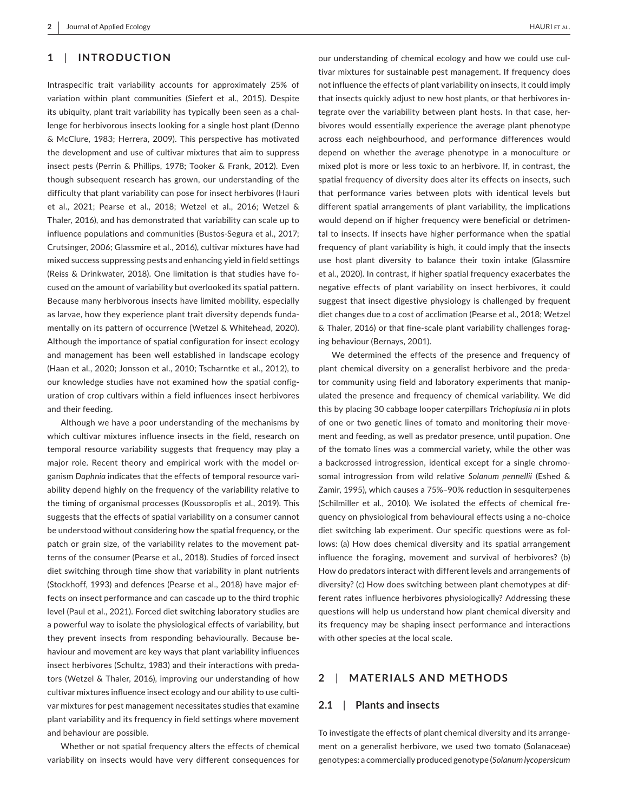# **1**  | **INTRODUCTION**

Intraspecific trait variability accounts for approximately 25% of variation within plant communities (Siefert et al., 2015). Despite its ubiquity, plant trait variability has typically been seen as a challenge for herbivorous insects looking for a single host plant (Denno & McClure, 1983; Herrera, 2009). This perspective has motivated the development and use of cultivar mixtures that aim to suppress insect pests (Perrin & Phillips, 1978; Tooker & Frank, 2012). Even though subsequent research has grown, our understanding of the difficulty that plant variability can pose for insect herbivores (Hauri et al., 2021; Pearse et al., 2018; Wetzel et al., 2016; Wetzel & Thaler, 2016), and has demonstrated that variability can scale up to influence populations and communities (Bustos-Segura et al., 2017; Crutsinger, 2006; Glassmire et al., 2016), cultivar mixtures have had mixed success suppressing pests and enhancing yield in field settings (Reiss & Drinkwater, 2018). One limitation is that studies have focused on the amount of variability but overlooked its spatial pattern. Because many herbivorous insects have limited mobility, especially as larvae, how they experience plant trait diversity depends fundamentally on its pattern of occurrence (Wetzel & Whitehead, 2020). Although the importance of spatial configuration for insect ecology and management has been well established in landscape ecology (Haan et al., 2020; Jonsson et al., 2010; Tscharntke et al., 2012), to our knowledge studies have not examined how the spatial configuration of crop cultivars within a field influences insect herbivores and their feeding.

Although we have a poor understanding of the mechanisms by which cultivar mixtures influence insects in the field, research on temporal resource variability suggests that frequency may play a major role. Recent theory and empirical work with the model organism *Daphnia* indicates that the effects of temporal resource variability depend highly on the frequency of the variability relative to the timing of organismal processes (Koussoroplis et al., 2019). This suggests that the effects of spatial variability on a consumer cannot be understood without considering how the spatial frequency, or the patch or grain size, of the variability relates to the movement patterns of the consumer (Pearse et al., 2018). Studies of forced insect diet switching through time show that variability in plant nutrients (Stockhoff, 1993) and defences (Pearse et al., 2018) have major effects on insect performance and can cascade up to the third trophic level (Paul et al., 2021). Forced diet switching laboratory studies are a powerful way to isolate the physiological effects of variability, but they prevent insects from responding behaviourally. Because behaviour and movement are key ways that plant variability influences insect herbivores (Schultz, 1983) and their interactions with predators (Wetzel & Thaler, 2016), improving our understanding of how cultivar mixtures influence insect ecology and our ability to use cultivar mixtures for pest management necessitates studies that examine plant variability and its frequency in field settings where movement and behaviour are possible.

Whether or not spatial frequency alters the effects of chemical variability on insects would have very different consequences for

our understanding of chemical ecology and how we could use cultivar mixtures for sustainable pest management. If frequency does not influence the effects of plant variability on insects, it could imply that insects quickly adjust to new host plants, or that herbivores integrate over the variability between plant hosts. In that case, herbivores would essentially experience the average plant phenotype across each neighbourhood, and performance differences would depend on whether the average phenotype in a monoculture or mixed plot is more or less toxic to an herbivore. If, in contrast, the spatial frequency of diversity does alter its effects on insects, such that performance varies between plots with identical levels but different spatial arrangements of plant variability, the implications would depend on if higher frequency were beneficial or detrimental to insects. If insects have higher performance when the spatial frequency of plant variability is high, it could imply that the insects use host plant diversity to balance their toxin intake (Glassmire et al., 2020). In contrast, if higher spatial frequency exacerbates the negative effects of plant variability on insect herbivores, it could suggest that insect digestive physiology is challenged by frequent diet changes due to a cost of acclimation (Pearse et al., 2018; Wetzel & Thaler, 2016) or that fine-scale plant variability challenges foraging behaviour (Bernays, 2001).

We determined the effects of the presence and frequency of plant chemical diversity on a generalist herbivore and the predator community using field and laboratory experiments that manipulated the presence and frequency of chemical variability. We did this by placing 30 cabbage looper caterpillars *Trichoplusia ni* in plots of one or two genetic lines of tomato and monitoring their movement and feeding, as well as predator presence, until pupation. One of the tomato lines was a commercial variety, while the other was a backcrossed introgression, identical except for a single chromosomal introgression from wild relative *Solanum pennellii* (Eshed & Zamir, 1995), which causes a 75%–90% reduction in sesquiterpenes (Schilmiller et al., 2010). We isolated the effects of chemical frequency on physiological from behavioural effects using a no-choice diet switching lab experiment. Our specific questions were as follows: (a) How does chemical diversity and its spatial arrangement influence the foraging, movement and survival of herbivores? (b) How do predators interact with different levels and arrangements of diversity? (c) How does switching between plant chemotypes at different rates influence herbivores physiologically? Addressing these questions will help us understand how plant chemical diversity and its frequency may be shaping insect performance and interactions with other species at the local scale.

## **2**  | **MATERIALS AND METHODS**

#### **2.1**  | **Plants and insects**

To investigate the effects of plant chemical diversity and its arrangement on a generalist herbivore, we used two tomato (Solanaceae) genotypes: a commercially produced genotype (*Solanum lycopersicum*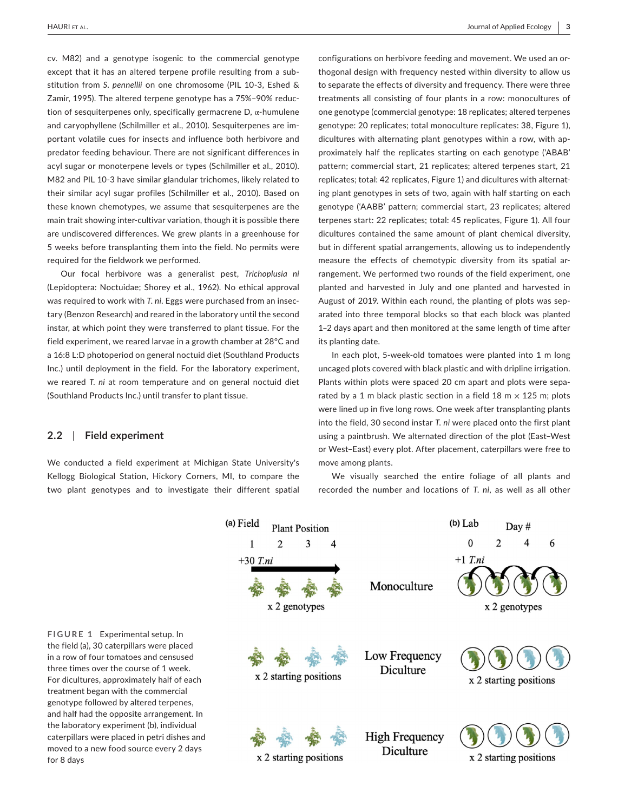cv. M82) and a genotype isogenic to the commercial genotype except that it has an altered terpene profile resulting from a substitution from *S. pennellii* on one chromosome (PIL 10-3, Eshed & Zamir, 1995). The altered terpene genotype has a 75%–90% reduction of sesquiterpenes only, specifically germacrene  $D$ , α-humulene and caryophyllene (Schilmiller et al., 2010). Sesquiterpenes are important volatile cues for insects and influence both herbivore and predator feeding behaviour. There are not significant differences in acyl sugar or monoterpene levels or types (Schilmiller et al., 2010). M82 and PIL 10-3 have similar glandular trichomes, likely related to their similar acyl sugar profiles (Schilmiller et al., 2010). Based on these known chemotypes, we assume that sesquiterpenes are the main trait showing inter-cultivar variation, though it is possible there are undiscovered differences. We grew plants in a greenhouse for 5 weeks before transplanting them into the field. No permits were required for the fieldwork we performed.

Our focal herbivore was a generalist pest, *Trichoplusia ni* (Lepidoptera: Noctuidae; Shorey et al., 1962). No ethical approval was required to work with *T. ni*. Eggs were purchased from an insectary (Benzon Research) and reared in the laboratory until the second instar, at which point they were transferred to plant tissue. For the field experiment, we reared larvae in a growth chamber at 28°C and a 16:8 L:D photoperiod on general noctuid diet (Southland Products Inc.) until deployment in the field. For the laboratory experiment, we reared *T. ni* at room temperature and on general noctuid diet (Southland Products Inc.) until transfer to plant tissue.

# configurations on herbivore feeding and movement. We used an orthogonal design with frequency nested within diversity to allow us to separate the effects of diversity and frequency. There were three treatments all consisting of four plants in a row: monocultures of one genotype (commercial genotype: 18 replicates; altered terpenes genotype: 20 replicates; total monoculture replicates: 38, Figure 1), dicultures with alternating plant genotypes within a row, with approximately half the replicates starting on each genotype ('ABAB' pattern; commercial start, 21 replicates; altered terpenes start, 21 replicates; total: 42 replicates, Figure 1) and dicultures with alternating plant genotypes in sets of two, again with half starting on each genotype ('AABB' pattern; commercial start, 23 replicates; altered terpenes start: 22 replicates; total: 45 replicates, Figure 1). All four dicultures contained the same amount of plant chemical diversity, but in different spatial arrangements, allowing us to independently measure the effects of chemotypic diversity from its spatial arrangement. We performed two rounds of the field experiment, one planted and harvested in July and one planted and harvested in August of 2019. Within each round, the planting of plots was separated into three temporal blocks so that each block was planted 1–2 days apart and then monitored at the same length of time after its planting date.

In each plot, 5-week-old tomatoes were planted into 1 m long uncaged plots covered with black plastic and with dripline irrigation. Plants within plots were spaced 20 cm apart and plots were separated by a 1 m black plastic section in a field 18 m  $\times$  125 m; plots were lined up in five long rows. One week after transplanting plants into the field, 30 second instar *T. ni* were placed onto the first plant using a paintbrush. We alternated direction of the plot (East–West or West–East) every plot. After placement, caterpillars were free to move among plants.

## **2.2**  | **Field experiment**

We conducted a field experiment at Michigan State University's Kellogg Biological Station, Hickory Corners, MI, to compare the two plant genotypes and to investigate their different spatial

We visually searched the entire foliage of all plants and recorded the number and locations of *T. ni*, as well as all other

(a) Field  $(b)$  Lab Day # **Plant Position**  $\boldsymbol{0}$  $\overline{2}$  $\mathbf{1}$  $\overline{2}$ 3  $\boldsymbol{\varDelta}$ 6  $+1$  T.ni  $+30$  T.ni Monoculture x 2 genotypes x 2 genotypes Low Frequency Diculture x 2 starting positions x 2 starting positions **High Frequency** Diculture x 2 starting positions x 2 starting positions

**FIGURE 1** Experimental setup. In the field (a), 30 caterpillars were placed in a row of four tomatoes and censused three times over the course of 1 week. For dicultures, approximately half of each treatment began with the commercial genotype followed by altered terpenes, and half had the opposite arrangement. In the laboratory experiment (b), individual caterpillars were placed in petri dishes and moved to a new food source every 2 days for 8 days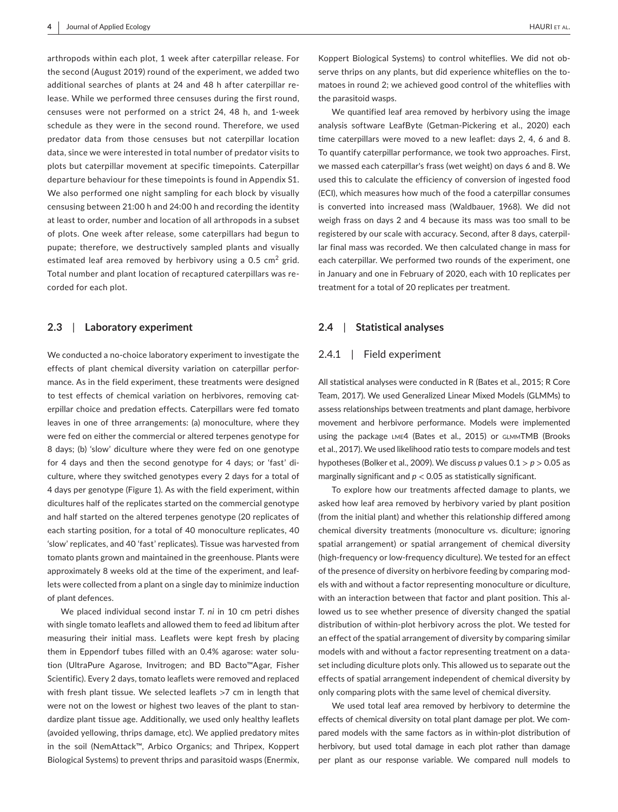arthropods within each plot, 1 week after caterpillar release. For the second (August 2019) round of the experiment, we added two additional searches of plants at 24 and 48 h after caterpillar release. While we performed three censuses during the first round, censuses were not performed on a strict 24, 48 h, and 1-week schedule as they were in the second round. Therefore, we used predator data from those censuses but not caterpillar location data, since we were interested in total number of predator visits to plots but caterpillar movement at specific timepoints. Caterpillar departure behaviour for these timepoints is found in Appendix S1. We also performed one night sampling for each block by visually censusing between 21:00 h and 24:00 h and recording the identity at least to order, number and location of all arthropods in a subset of plots. One week after release, some caterpillars had begun to pupate; therefore, we destructively sampled plants and visually estimated leaf area removed by herbivory using a 0.5  $\textsf{cm}^2$  grid. Total number and plant location of recaptured caterpillars was recorded for each plot.

### **2.3**  | **Laboratory experiment**

We conducted a no-choice laboratory experiment to investigate the effects of plant chemical diversity variation on caterpillar performance. As in the field experiment, these treatments were designed to test effects of chemical variation on herbivores, removing caterpillar choice and predation effects. Caterpillars were fed tomato leaves in one of three arrangements: (a) monoculture, where they were fed on either the commercial or altered terpenes genotype for 8 days; (b) 'slow' diculture where they were fed on one genotype for 4 days and then the second genotype for 4 days; or 'fast' diculture, where they switched genotypes every 2 days for a total of 4 days per genotype (Figure 1). As with the field experiment, within dicultures half of the replicates started on the commercial genotype and half started on the altered terpenes genotype (20 replicates of each starting position, for a total of 40 monoculture replicates, 40 'slow' replicates, and 40 'fast' replicates). Tissue was harvested from tomato plants grown and maintained in the greenhouse. Plants were approximately 8 weeks old at the time of the experiment, and leaflets were collected from a plant on a single day to minimize induction of plant defences.

We placed individual second instar *T. ni* in 10 cm petri dishes with single tomato leaflets and allowed them to feed ad libitum after measuring their initial mass. Leaflets were kept fresh by placing them in Eppendorf tubes filled with an 0.4% agarose: water solution (UltraPure Agarose, Invitrogen; and BD Bacto™Agar, Fisher Scientific). Every 2 days, tomato leaflets were removed and replaced with fresh plant tissue. We selected leaflets >7 cm in length that were not on the lowest or highest two leaves of the plant to standardize plant tissue age. Additionally, we used only healthy leaflets (avoided yellowing, thrips damage, etc). We applied predatory mites in the soil (NemAttack™, Arbico Organics; and Thripex, Koppert Biological Systems) to prevent thrips and parasitoid wasps (Enermix,

Koppert Biological Systems) to control whiteflies. We did not observe thrips on any plants, but did experience whiteflies on the tomatoes in round 2; we achieved good control of the whiteflies with the parasitoid wasps.

We quantified leaf area removed by herbivory using the image analysis software LeafByte (Getman-Pickering et al., 2020) each time caterpillars were moved to a new leaflet: days 2, 4, 6 and 8. To quantify caterpillar performance, we took two approaches. First, we massed each caterpillar's frass (wet weight) on days 6 and 8. We used this to calculate the efficiency of conversion of ingested food (ECI), which measures how much of the food a caterpillar consumes is converted into increased mass (Waldbauer, 1968). We did not weigh frass on days 2 and 4 because its mass was too small to be registered by our scale with accuracy. Second, after 8 days, caterpillar final mass was recorded. We then calculated change in mass for each caterpillar. We performed two rounds of the experiment, one in January and one in February of 2020, each with 10 replicates per treatment for a total of 20 replicates per treatment.

## **2.4**  | **Statistical analyses**

#### 2.4.1 | Field experiment

All statistical analyses were conducted in R (Bates et al., 2015; R Core Team, 2017). We used Generalized Linear Mixed Models (GLMMs) to assess relationships between treatments and plant damage, herbivore movement and herbivore performance. Models were implemented using the package lme4 (Bates et al., 2015) or glmmTMB (Brooks et al., 2017). We used likelihood ratio tests to compare models and test hypotheses (Bolker et al., 2009). We discuss *p* values 0.1 > *p* > 0.05 as marginally significant and  $p < 0.05$  as statistically significant.

To explore how our treatments affected damage to plants, we asked how leaf area removed by herbivory varied by plant position (from the initial plant) and whether this relationship differed among chemical diversity treatments (monoculture vs. diculture; ignoring spatial arrangement) or spatial arrangement of chemical diversity (high-frequency or low-frequency diculture). We tested for an effect of the presence of diversity on herbivore feeding by comparing models with and without a factor representing monoculture or diculture, with an interaction between that factor and plant position. This allowed us to see whether presence of diversity changed the spatial distribution of within-plot herbivory across the plot. We tested for an effect of the spatial arrangement of diversity by comparing similar models with and without a factor representing treatment on a dataset including diculture plots only. This allowed us to separate out the effects of spatial arrangement independent of chemical diversity by only comparing plots with the same level of chemical diversity.

We used total leaf area removed by herbivory to determine the effects of chemical diversity on total plant damage per plot. We compared models with the same factors as in within-plot distribution of herbivory, but used total damage in each plot rather than damage per plant as our response variable. We compared null models to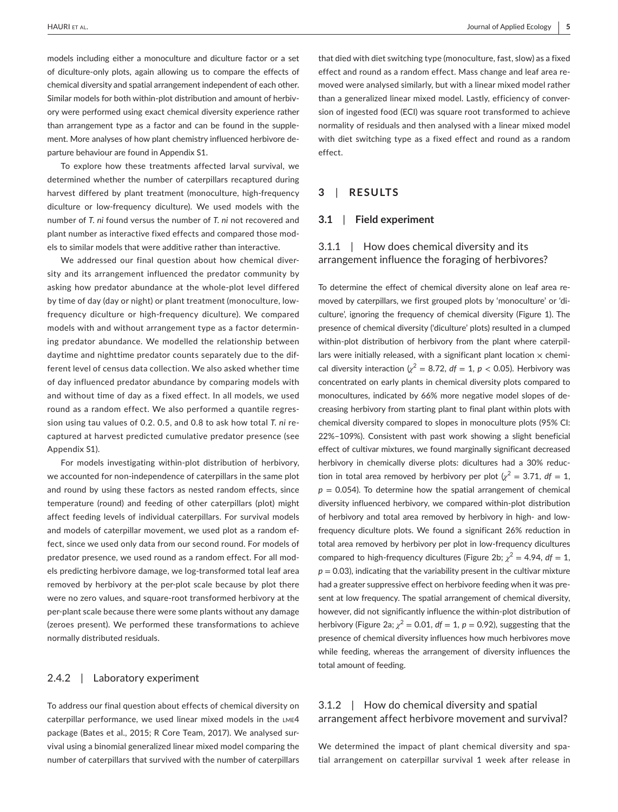models including either a monoculture and diculture factor or a set of diculture-only plots, again allowing us to compare the effects of chemical diversity and spatial arrangement independent of each other. Similar models for both within-plot distribution and amount of herbivory were performed using exact chemical diversity experience rather than arrangement type as a factor and can be found in the supplement. More analyses of how plant chemistry influenced herbivore departure behaviour are found in Appendix S1.

To explore how these treatments affected larval survival, we determined whether the number of caterpillars recaptured during harvest differed by plant treatment (monoculture, high-frequency diculture or low-frequency diculture). We used models with the number of *T. ni* found versus the number of *T. ni* not recovered and plant number as interactive fixed effects and compared those models to similar models that were additive rather than interactive.

We addressed our final question about how chemical diversity and its arrangement influenced the predator community by asking how predator abundance at the whole-plot level differed by time of day (day or night) or plant treatment (monoculture, lowfrequency diculture or high-frequency diculture). We compared models with and without arrangement type as a factor determining predator abundance. We modelled the relationship between daytime and nighttime predator counts separately due to the different level of census data collection. We also asked whether time of day influenced predator abundance by comparing models with and without time of day as a fixed effect. In all models, we used round as a random effect. We also performed a quantile regression using tau values of 0.2. 0.5, and 0.8 to ask how total *T. ni* recaptured at harvest predicted cumulative predator presence (see Appendix S1).

For models investigating within-plot distribution of herbivory, we accounted for non-independence of caterpillars in the same plot and round by using these factors as nested random effects, since temperature (round) and feeding of other caterpillars (plot) might affect feeding levels of individual caterpillars. For survival models and models of caterpillar movement, we used plot as a random effect, since we used only data from our second round. For models of predator presence, we used round as a random effect. For all models predicting herbivore damage, we log-transformed total leaf area removed by herbivory at the per-plot scale because by plot there were no zero values, and square-root transformed herbivory at the per-plant scale because there were some plants without any damage (zeroes present). We performed these transformations to achieve normally distributed residuals.

## 2.4.2 | Laboratory experiment

To address our final question about effects of chemical diversity on caterpillar performance, we used linear mixed models in the lme4 package (Bates et al., 2015; R Core Team, 2017). We analysed survival using a binomial generalized linear mixed model comparing the number of caterpillars that survived with the number of caterpillars

that died with diet switching type (monoculture, fast, slow) as a fixed effect and round as a random effect. Mass change and leaf area removed were analysed similarly, but with a linear mixed model rather than a generalized linear mixed model. Lastly, efficiency of conversion of ingested food (ECI) was square root transformed to achieve normality of residuals and then analysed with a linear mixed model with diet switching type as a fixed effect and round as a random effect.

## **3**  | **RESULTS**

#### **3.1**  | **Field experiment**

# 3.1.1 | How does chemical diversity and its arrangement influence the foraging of herbivores?

To determine the effect of chemical diversity alone on leaf area removed by caterpillars, we first grouped plots by 'monoculture' or 'diculture', ignoring the frequency of chemical diversity (Figure 1). The presence of chemical diversity ('diculture' plots) resulted in a clumped within-plot distribution of herbivory from the plant where caterpillars were initially released, with a significant plant location  $\times$  chemical diversity interaction ( $\chi^2 = 8.72$ ,  $df = 1$ ,  $p < 0.05$ ). Herbivory was concentrated on early plants in chemical diversity plots compared to monocultures, indicated by 66% more negative model slopes of decreasing herbivory from starting plant to final plant within plots with chemical diversity compared to slopes in monoculture plots (95% CI: 22%–109%). Consistent with past work showing a slight beneficial effect of cultivar mixtures, we found marginally significant decreased herbivory in chemically diverse plots: dicultures had a 30% reduction in total area removed by herbivory per plot  $\left(\chi^2 = 3.71, df = 1\right)$  $p = 0.054$ ). To determine how the spatial arrangement of chemical diversity influenced herbivory, we compared within-plot distribution of herbivory and total area removed by herbivory in high- and lowfrequency diculture plots. We found a significant 26% reduction in total area removed by herbivory per plot in low-frequency dicultures compared to high-frequency dicultures (Figure 2b;  $\chi^2 = 4.94$ ,  $df = 1$ ,  $p = 0.03$ ), indicating that the variability present in the cultivar mixture had a greater suppressive effect on herbivore feeding when it was present at low frequency. The spatial arrangement of chemical diversity, however, did not significantly influence the within-plot distribution of herbivory (Figure 2a;  $\chi^2$  = 0.01,  $df = 1$ ,  $p = 0.92$ ), suggesting that the presence of chemical diversity influences how much herbivores move while feeding, whereas the arrangement of diversity influences the total amount of feeding.

# 3.1.2 | How do chemical diversity and spatial arrangement affect herbivore movement and survival?

We determined the impact of plant chemical diversity and spatial arrangement on caterpillar survival 1 week after release in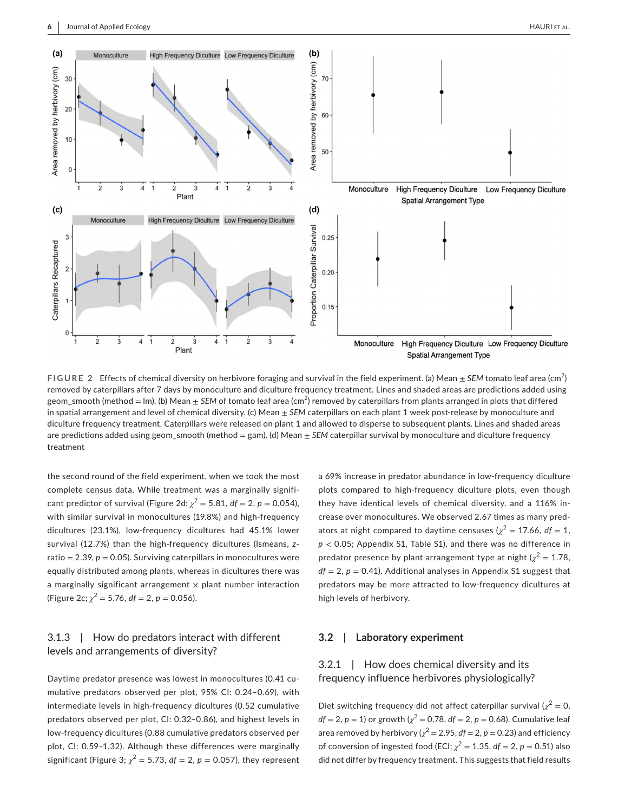

**FIGURE 2** Effects of chemical diversity on herbivore foraging and survival in the field experiment. (a) Mean  $\pm$  SEM tomato leaf area (cm<sup>2</sup>) removed by caterpillars after 7 days by monoculture and diculture frequency treatment. Lines and shaded areas are predictions added using geom\_smooth (method = lm). (b) Mean  $\pm$  *SEM* of tomato leaf area (cm<sup>2</sup>) removed by caterpillars from plants arranged in plots that differed in spatial arrangement and level of chemical diversity. (c) Mean  $\pm$  SEM caterpillars on each plant 1 week post-release by monoculture and diculture frequency treatment. Caterpillars were released on plant 1 and allowed to disperse to subsequent plants. Lines and shaded areas are predictions added using geom\_smooth (method = gam). (d) Mean  $\pm$  *SEM* caterpillar survival by monoculture and diculture frequency treatment

the second round of the field experiment, when we took the most complete census data. While treatment was a marginally significant predictor of survival (Figure 2d;  $\chi^2 = 5.81$ ,  $df = 2$ ,  $p = 0.054$ ), with similar survival in monocultures (19.8%) and high-frequency dicultures (23.1%), low-frequency dicultures had 45.1% lower survival (12.7%) than the high-frequency dicultures (lsmeans, *z*ratio =  $2.39$ ,  $p = 0.05$ ). Surviving caterpillars in monocultures were equally distributed among plants, whereas in dicultures there was a marginally significant arrangement  $\times$  plant number interaction (Figure 2c;  $\chi^2$  = 5.76,  $df$  = 2,  $p$  = 0.056).

# 3.1.3 | How do predators interact with different levels and arrangements of diversity?

Daytime predator presence was lowest in monocultures (0.41 cumulative predators observed per plot, 95% CI: 0.24–0.69), with intermediate levels in high-frequency dicultures (0.52 cumulative predators observed per plot, CI: 0.32–0.86), and highest levels in low-frequency dicultures (0.88 cumulative predators observed per plot, CI: 0.59–1.32). Although these differences were marginally significant (Figure 3;  $\chi^2 = 5.73$ ,  $df = 2$ ,  $p = 0.057$ ), they represent a 69% increase in predator abundance in low-frequency diculture plots compared to high-frequency diculture plots, even though they have identical levels of chemical diversity, and a 116% increase over monocultures. We observed 2.67 times as many predators at night compared to daytime censuses ( $\chi^2$  = 17.66, df = 1, *p* < 0.05; Appendix S1, Table S1), and there was no difference in predator presence by plant arrangement type at night  $\chi^2 = 1.78$ ,  $df = 2$ ,  $p = 0.41$ ). Additional analyses in Appendix S1 suggest that predators may be more attracted to low-frequency dicultures at high levels of herbivory.

#### **3.2**  | **Laboratory experiment**

# 3.2.1 | How does chemical diversity and its frequency influence herbivores physiologically?

Diet switching frequency did not affect caterpillar survival  $\chi^2 = 0$ ,  $df = 2, p = 1$ ) or growth ( $\chi^2 = 0.78$ ,  $df = 2, p = 0.68$ ). Cumulative leaf area removed by herbivory ( $\chi^2$  = 2.95,  $df$  = 2,  $p$  = 0.23) and efficiency of conversion of ingested food (ECI;  $\chi^2 = 1.35$ ,  $df = 2$ ,  $p = 0.51$ ) also did not differ by frequency treatment. This suggests that field results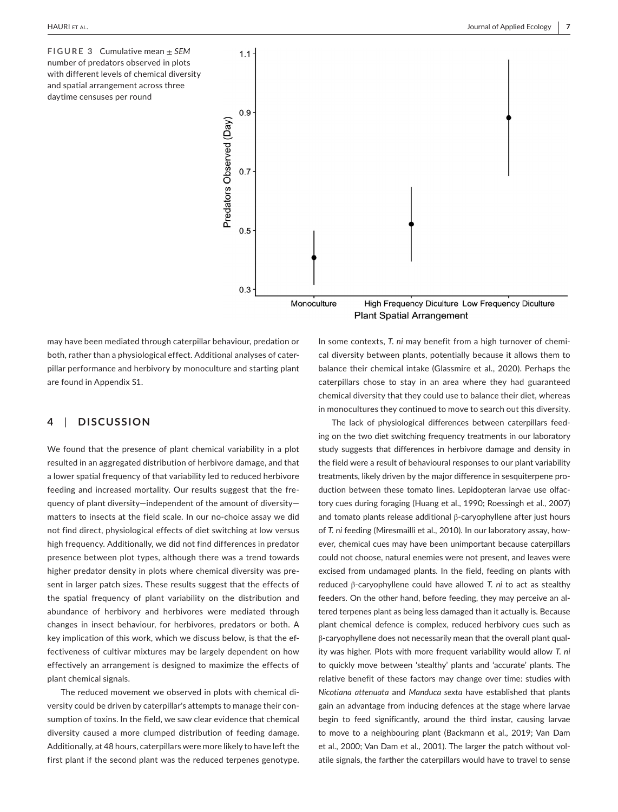**FIGURE 3** Cumulative mean ± *SEM* number of predators observed in plots with different levels of chemical diversity and spatial arrangement across three daytime censuses per round



may have been mediated through caterpillar behaviour, predation or both, rather than a physiological effect. Additional analyses of caterpillar performance and herbivory by monoculture and starting plant are found in Appendix S1.

# **4**  | **DISCUSSION**

We found that the presence of plant chemical variability in a plot resulted in an aggregated distribution of herbivore damage, and that a lower spatial frequency of that variability led to reduced herbivore feeding and increased mortality. Our results suggest that the frequency of plant diversity—independent of the amount of diversity matters to insects at the field scale. In our no-choice assay we did not find direct, physiological effects of diet switching at low versus high frequency. Additionally, we did not find differences in predator presence between plot types, although there was a trend towards higher predator density in plots where chemical diversity was present in larger patch sizes. These results suggest that the effects of the spatial frequency of plant variability on the distribution and abundance of herbivory and herbivores were mediated through changes in insect behaviour, for herbivores, predators or both. A key implication of this work, which we discuss below, is that the effectiveness of cultivar mixtures may be largely dependent on how effectively an arrangement is designed to maximize the effects of plant chemical signals.

The reduced movement we observed in plots with chemical diversity could be driven by caterpillar's attempts to manage their consumption of toxins. In the field, we saw clear evidence that chemical diversity caused a more clumped distribution of feeding damage. Additionally, at 48 hours, caterpillars were more likely to have left the first plant if the second plant was the reduced terpenes genotype.

In some contexts, *T. ni* may benefit from a high turnover of chemical diversity between plants, potentially because it allows them to balance their chemical intake (Glassmire et al., 2020). Perhaps the caterpillars chose to stay in an area where they had guaranteed chemical diversity that they could use to balance their diet, whereas in monocultures they continued to move to search out this diversity.

The lack of physiological differences between caterpillars feeding on the two diet switching frequency treatments in our laboratory study suggests that differences in herbivore damage and density in the field were a result of behavioural responses to our plant variability treatments, likely driven by the major difference in sesquiterpene production between these tomato lines. Lepidopteran larvae use olfactory cues during foraging (Huang et al., 1990; Roessingh et al., 2007) and tomato plants release additional β-caryophyllene after just hours of *T. ni* feeding (Miresmailli et al., 2010). In our laboratory assay, however, chemical cues may have been unimportant because caterpillars could not choose, natural enemies were not present, and leaves were excised from undamaged plants. In the field, feeding on plants with reduced β-caryophyllene could have allowed *T. ni* to act as stealthy feeders. On the other hand, before feeding, they may perceive an altered terpenes plant as being less damaged than it actually is. Because plant chemical defence is complex, reduced herbivory cues such as β-caryophyllene does not necessarily mean that the overall plant quality was higher. Plots with more frequent variability would allow *T. ni* to quickly move between 'stealthy' plants and 'accurate' plants. The relative benefit of these factors may change over time: studies with *Nicotiana attenuata* and *Manduca sexta* have established that plants gain an advantage from inducing defences at the stage where larvae begin to feed significantly, around the third instar, causing larvae to move to a neighbouring plant (Backmann et al., 2019; Van Dam et al., 2000; Van Dam et al., 2001). The larger the patch without volatile signals, the farther the caterpillars would have to travel to sense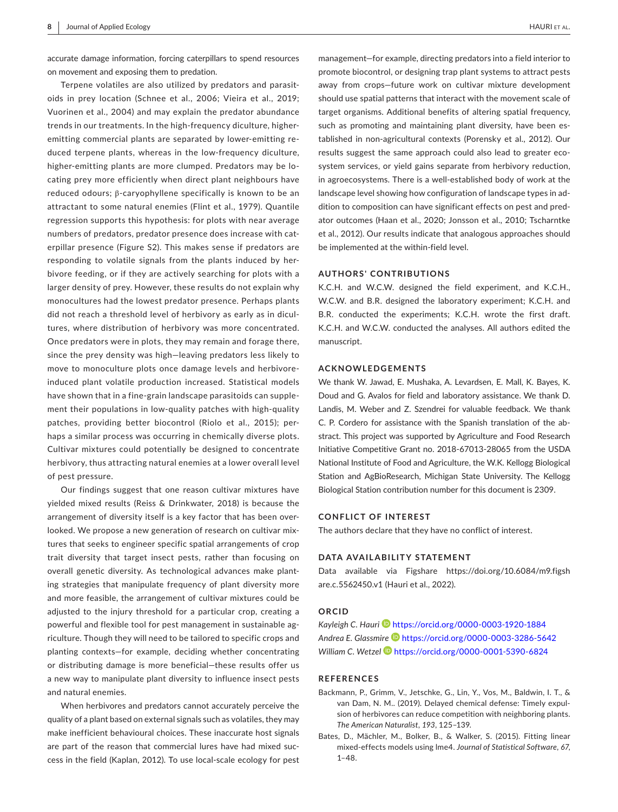accurate damage information, forcing caterpillars to spend resources on movement and exposing them to predation.

Terpene volatiles are also utilized by predators and parasitoids in prey location (Schnee et al., 2006; Vieira et al., 2019; Vuorinen et al., 2004) and may explain the predator abundance trends in our treatments. In the high-frequency diculture, higheremitting commercial plants are separated by lower-emitting reduced terpene plants, whereas in the low-frequency diculture, higher-emitting plants are more clumped. Predators may be locating prey more efficiently when direct plant neighbours have reduced odours; β-caryophyllene specifically is known to be an attractant to some natural enemies (Flint et al., 1979). Quantile regression supports this hypothesis: for plots with near average numbers of predators, predator presence does increase with caterpillar presence (Figure S2). This makes sense if predators are responding to volatile signals from the plants induced by herbivore feeding, or if they are actively searching for plots with a larger density of prey. However, these results do not explain why monocultures had the lowest predator presence. Perhaps plants did not reach a threshold level of herbivory as early as in dicultures, where distribution of herbivory was more concentrated. Once predators were in plots, they may remain and forage there, since the prey density was high—leaving predators less likely to move to monoculture plots once damage levels and herbivoreinduced plant volatile production increased. Statistical models have shown that in a fine-grain landscape parasitoids can supplement their populations in low-quality patches with high-quality patches, providing better biocontrol (Riolo et al., 2015); perhaps a similar process was occurring in chemically diverse plots. Cultivar mixtures could potentially be designed to concentrate herbivory, thus attracting natural enemies at a lower overall level of pest pressure.

Our findings suggest that one reason cultivar mixtures have yielded mixed results (Reiss & Drinkwater, 2018) is because the arrangement of diversity itself is a key factor that has been overlooked. We propose a new generation of research on cultivar mixtures that seeks to engineer specific spatial arrangements of crop trait diversity that target insect pests, rather than focusing on overall genetic diversity. As technological advances make planting strategies that manipulate frequency of plant diversity more and more feasible, the arrangement of cultivar mixtures could be adjusted to the injury threshold for a particular crop, creating a powerful and flexible tool for pest management in sustainable agriculture. Though they will need to be tailored to specific crops and planting contexts—for example, deciding whether concentrating or distributing damage is more beneficial—these results offer us a new way to manipulate plant diversity to influence insect pests and natural enemies.

When herbivores and predators cannot accurately perceive the quality of a plant based on external signals such as volatiles, they may make inefficient behavioural choices. These inaccurate host signals are part of the reason that commercial lures have had mixed success in the field (Kaplan, 2012). To use local-scale ecology for pest

management—for example, directing predators into a field interior to promote biocontrol, or designing trap plant systems to attract pests away from crops—future work on cultivar mixture development should use spatial patterns that interact with the movement scale of target organisms. Additional benefits of altering spatial frequency, such as promoting and maintaining plant diversity, have been established in non-agricultural contexts (Porensky et al., 2012). Our results suggest the same approach could also lead to greater ecosystem services, or yield gains separate from herbivory reduction, in agroecosystems. There is a well-established body of work at the landscape level showing how configuration of landscape types in addition to composition can have significant effects on pest and predator outcomes (Haan et al., 2020; Jonsson et al., 2010; Tscharntke et al., 2012). Our results indicate that analogous approaches should be implemented at the within-field level.

## **AUTHORS' CONTRIBUTIONS**

K.C.H. and W.C.W. designed the field experiment, and K.C.H., W.C.W. and B.R. designed the laboratory experiment; K.C.H. and B.R. conducted the experiments; K.C.H. wrote the first draft. K.C.H. and W.C.W. conducted the analyses. All authors edited the manuscript.

#### **ACKNOWLEDGEMENTS**

We thank W. Jawad, E. Mushaka, A. Levardsen, E. Mall, K. Bayes, K. Doud and G. Avalos for field and laboratory assistance. We thank D. Landis, M. Weber and Z. Szendrei for valuable feedback. We thank C. P. Cordero for assistance with the Spanish translation of the abstract. This project was supported by Agriculture and Food Research Initiative Competitive Grant no. 2018-67013-28065 from the USDA National Institute of Food and Agriculture, the W.K. Kellogg Biological Station and AgBioResearch, Michigan State University. The Kellogg Biological Station contribution number for this document is 2309.

#### **CONFLICT OF INTEREST**

The authors declare that they have no conflict of interest.

#### **DATA AVAILABILITY STATEMENT**

Data available via Figshare [https://doi.org/10.6084/m9.figsh](https://doi.org/10.6084/m9.figshare.c.5562450.v1) [are.c.5562450.v1](https://doi.org/10.6084/m9.figshare.c.5562450.v1) (Hauri et al., 2022).

#### **ORCID**

Kayleigh C. Hauri<sup><sup>1</sup> <https://orcid.org/0000-0003-1920-1884></sup> *Andrea E. Glassmire* <https://orcid.org/0000-0003-3286-5642> *William C. Wetze[l](https://orcid.org/0000-0001-5390-6824)* <https://orcid.org/0000-0001-5390-6824>

#### **REFERENCES**

- Backmann, P., Grimm, V., Jetschke, G., Lin, Y., Vos, M., Baldwin, I. T., & van Dam, N. M.. (2019). Delayed chemical defense: Timely expulsion of herbivores can reduce competition with neighboring plants. *The American Naturalist*, *193*, 125–139.
- Bates, D., Mächler, M., Bolker, B., & Walker, S. (2015). Fitting linear mixed-effects models using lme4. *Journal of Statistical Software*, *67*, 1–48.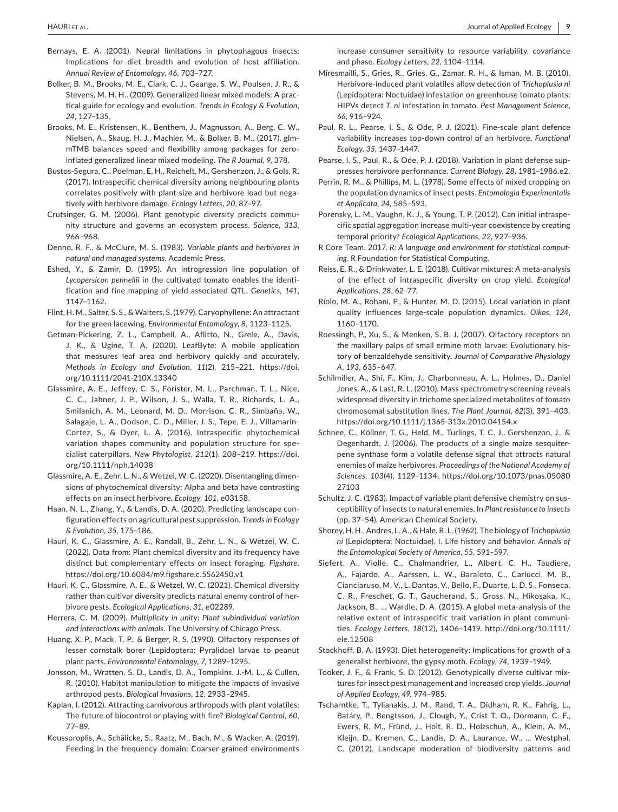- Bernays, E. A. (2001). Neural limitations in phytophagous insects: Implications for diet breadth and evolution of host affiliation. *Annual Review of Entomology*, *46*, 703–727.
- Bolker, B. M., Brooks, M. E., Clark, C. J., Geange, S. W., Poulsen, J. R., & Stevens, M. H. H.. (2009). Generalized linear mixed models: A practical guide for ecology and evolution. *Trends in Ecology & Evolution*, *24*, 127–135.
- Brooks, M. E., Kristensen, K., Benthem, J., Magnusson, A., Berg, C. W., Nielsen, A., Skaug, H. J., Machler, M., & Bolker, B. M.. (2017). glmmTMB balances speed and flexibility among packages for zeroinflated generalized linear mixed modeling. *The R Journal*, *9*, 378.
- Bustos-Segura, C., Poelman, E. H., Reichelt, M., Gershenzon, J., & Gols, R. (2017). Intraspecific chemical diversity among neighbouring plants correlates positively with plant size and herbivore load but negatively with herbivore damage. *Ecology Letters*, *20*, 87–97.
- Crutsinger, G. M. (2006). Plant genotypic diversity predicts community structure and governs an ecosystem process. *Science*, *313*, 966–968.
- Denno, R. F., & McClure, M. S. (1983). *Variable plants and herbivores in natural and managed systems*. Academic Press.
- Eshed, Y., & Zamir, D. (1995). An introgression line population of *Lycopersicon pennellii* in the cultivated tomato enables the identification and fine mapping of yield-associated QTL. *Genetics*, *141*, 1147–1162.
- Flint, H. M., Salter, S. S., & Walters, S. (1979). Caryophyllene: An attractant for the green lacewing. *Environmental Entomology*, *8*, 1123–1125.
- Getman-Pickering, Z. L., Campbell, A., Aflitto, N., Grele, A., Davis, J. K., & Ugine, T. A. (2020). LeafByte: A mobile application that measures leaf area and herbivory quickly and accurately. *Methods in Ecology and Evolution*, *11*(2), 215–221. [https://doi.](https://doi.org/10.1111/2041-210X.13340) [org/10.1111/2041-210X.13340](https://doi.org/10.1111/2041-210X.13340)
- Glassmire, A. E., Jeffrey, C. S., Forister, M. L., Parchman, T. L., Nice, C. C., Jahner, J. P., Wilson, J. S., Walla, T. R., Richards, L. A., Smilanich, A. M., Leonard, M. D., Morrison, C. R., Simbaña, W., Salagaje, L. A., Dodson, C. D., Miller, J. S., Tepe, E. J., Villamarin-Cortez, S., & Dyer, L. A. (2016). Intraspecific phytochemical variation shapes community and population structure for specialist caterpillars. *New Phytologist*, *212*(1), 208–219. [https://doi.](https://doi.org/10.1111/nph.14038) [org/10.1111/nph.14038](https://doi.org/10.1111/nph.14038)
- Glassmire, A. E., Zehr, L. N., & Wetzel, W. C. (2020). Disentangling dimensions of phytochemical diversity: Alpha and beta have contrasting effects on an insect herbivore. *Ecology*, *101*, e03158.
- Haan, N. L., Zhang, Y., & Landis, D. A. (2020). Predicting landscape configuration effects on agricultural pest suppression. *Trends in Ecology & Evolution*, *35*, 175–186.
- Hauri, K. C., Glassmire, A. E., Randall, B., Zehr, L. N., & Wetzel, W. C. (2022). Data from: Plant chemical diversity and its frequency have distinct but complementary effects on insect foraging. *Figshare*. <https://doi.org/10.6084/m9.figshare.c.5562450.v1>
- Hauri, K. C., Glassmire, A. E., & Wetzel, W. C. (2021). Chemical diversity rather than cultivar diversity predicts natural enemy control of herbivore pests. *Ecological Applications*, *31*, e02289.
- Herrera, C. M. (2009). *Multiplicity in unity: Plant subindividual variation and interactions with animals*. The University of Chicago Press.
- Huang, X. P., Mack, T. P., & Berger, R. S. (1990). Olfactory responses of lesser cornstalk borer (Lepidoptera: Pyralidae) larvae to peanut plant parts. *Environmental Entomology*, *7*, 1289–1295.
- Jonsson, M., Wratten, S. D., Landis, D. A., Tompkins, J.-M. L., & Cullen, R. (2010). Habitat manipulation to mitigate the impacts of invasive arthropod pests. *Biological Invasions*, *12*, 2933–2945.
- Kaplan, I. (2012). Attracting carnivorous arthropods with plant volatiles: The future of biocontrol or playing with fire? *Biological Control*, *60*, 77–89.
- Koussoroplis, A., Schälicke, S., Raatz, M., Bach, M., & Wacker, A. (2019). Feeding in the frequency domain: Coarser-grained environments

increase consumer sensitivity to resource variability, covariance and phase. *Ecology Letters*, *22*, 1104–1114.

- Miresmailli, S., Gries, R., Gries, G., Zamar, R. H., & Isman, M. B. (2010). Herbivore-induced plant volatiles allow detection of *Trichoplusia ni* (Lepidoptera: Noctuidae) infestation on greenhouse tomato plants: HIPVs detect *T. ni* infestation in tomato. *Pest Management Science*, *66*, 916–924.
- Paul, R. L., Pearse, I. S., & Ode, P. J. (2021). Fine-scale plant defence variability increases top-down control of an herbivore. *Functional Ecology*, *35*, 1437–1447.
- Pearse, I. S., Paul, R., & Ode, P. J. (2018). Variation in plant defense suppresses herbivore performance. *Current Biology*, *28*, 1981–1986.e2.
- Perrin, R. M., & Phillips, M. L. (1978). Some effects of mixed cropping on the population dynamics of insect pests. *Entomologia Experimentalis et Applicata*, *24*, 585–593.
- Porensky, L. M., Vaughn, K. J., & Young, T. P. (2012). Can initial intraspecific spatial aggregation increase multi-year coexistence by creating temporal priority? *Ecological Applications*, *22*, 927–936.
- R Core Team. 2017. *R: A language and environment for statistical computing*. R Foundation for Statistical Computing.
- Reiss, E. R., & Drinkwater, L. E. (2018). Cultivar mixtures: A meta-analysis of the effect of intraspecific diversity on crop yield. *Ecological Applications*, *28*, 62–77.
- Riolo, M. A., Rohani, P., & Hunter, M. D. (2015). Local variation in plant quality influences large-scale population dynamics. *Oikos*, *124*, 1160–1170.
- Roessingh, P., Xu, S., & Menken, S. B. J. (2007). Olfactory receptors on the maxillary palps of small ermine moth larvae: Evolutionary history of benzaldehyde sensitivity. *Journal of Comparative Physiology A*, *193*, 635–647.
- Schilmiller, A., Shi, F., Kim, J., Charbonneau, A. L., Holmes, D., Daniel Jones, A., & Last, R. L. (2010). Mass spectrometry screening reveals widespread diversity in trichome specialized metabolites of tomato chromosomal substitution lines. *The Plant Journal*, *62*(3), 391–403. <https://doi.org/10.1111/j.1365-313x.2010.04154.x>
- Schnee, C., Köllner, T. G., Held, M., Turlings, T. C. J., Gershenzon, J., & Degenhardt, J. (2006). The products of a single maize sesquiterpene synthase form a volatile defense signal that attracts natural enemies of maize herbivores. *Proceedings of the National Academy of Sciences*, *103*(4), 1129–1134. [https://doi.org/10.1073/pnas.05080](https://doi.org/10.1073/pnas.0508027103) [27103](https://doi.org/10.1073/pnas.0508027103)
- Schultz, J. C. (1983). Impact of variable plant defensive chemistry on susceptibility of insects to natural enemies. In *Plant resistance to insects* (pp. 37–54). American Chemical Society.
- Shorey, H. H., Andres, L. A., & Hale, R. L. (1962). The biology of *Trichoplusia ni* (Lepidoptera: Noctuidae). I. Life history and behavior. *Annals of the Entomological Society of America*, *55*, 591–597.
- Siefert, A., Violle, C., Chalmandrier, L., Albert, C. H., Taudiere, A., Fajardo, A., Aarssen, L. W., Baraloto, C., Carlucci, M. B., Cianciaruso, M. V., L. Dantas, V., Bello, F., Duarte, L. D. S., Fonseca, C. R., Freschet, G. T., Gaucherand, S., Gross, N., Hikosaka, K., Jackson, B., … Wardle, D. A. (2015). A global meta-analysis of the relative extent of intraspecific trait variation in plant communities. *Ecology Letters*, *18*(12), 1406–1419. [http://doi.org/10.1111/](http://doi.org/10.1111/ele.12508) [ele.12508](http://doi.org/10.1111/ele.12508)
- Stockhoff, B. A. (1993). Diet heterogeneity: Implications for growth of a generalist herbivore, the gypsy moth. *Ecology*, *74*, 1939–1949.
- Tooker, J. F., & Frank, S. D. (2012). Genotypically diverse cultivar mixtures for insect pest management and increased crop yields. *Journal of Applied Ecology*, *49*, 974–985.
- Tscharntke, T., Tylianakis, J. M., Rand, T. A., Didham, R. K., Fahrig, L., Batáry, P., Bengtsson, J., Clough, Y., Crist T. O., Dormann, C. F., Ewers, R. M., Fründ, J., Holt, R. D., Holzschuh, A., Klein, A. M., Kleijn, D., Kremen, C., Landis, D. A., Laurance, W., … Westphal, C. (2012). Landscape moderation of biodiversity patterns and